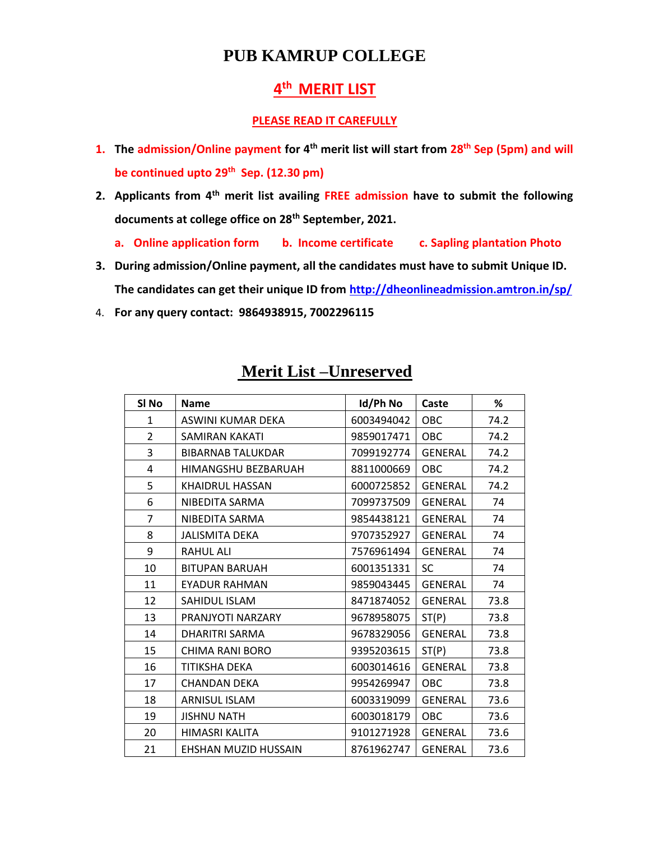## **PUB KAMRUP COLLEGE**

## **th MERIT LIST**

## **PLEASE READ IT CAREFULLY**

- **1. The admission/Online payment for 4th merit list will start from 28th Sep (5pm) and will be continued upto 29th Sep. (12.30 pm)**
- **2. Applicants from 4th merit list availing FREE admission have to submit the following documents at college office on 28th September, 2021.**
	- **a. Online application form b. Income certificate c. Sapling plantation Photo**
- **3. During admission/Online payment, all the candidates must have to submit Unique ID. The candidates can get their unique ID from<http://dheonlineadmission.amtron.in/sp/>**
- 4. **For any query contact: 9864938915, 7002296115**

| SI <sub>No</sub> | <b>Name</b>              | Id/Ph No   | Caste          | %    |
|------------------|--------------------------|------------|----------------|------|
| $\mathbf{1}$     | ASWINI KUMAR DEKA        | 6003494042 | OBC            | 74.2 |
| $\overline{2}$   | SAMIRAN KAKATI           | 9859017471 | <b>OBC</b>     | 74.2 |
| 3                | <b>BIBARNAB TALUKDAR</b> | 7099192774 | <b>GENERAL</b> | 74.2 |
| 4                | HIMANGSHU BEZBARUAH      | 8811000669 | <b>OBC</b>     | 74.2 |
| 5                | KHAIDRUL HASSAN          | 6000725852 | <b>GENERAL</b> | 74.2 |
| 6                | NIBEDITA SARMA           | 7099737509 | <b>GENERAL</b> | 74   |
| 7                | NIBEDITA SARMA           | 9854438121 | <b>GENERAL</b> | 74   |
| 8                | <b>JALISMITA DEKA</b>    | 9707352927 | <b>GENERAL</b> | 74   |
| 9                | <b>RAHUL ALI</b>         | 7576961494 | GENERAL        | 74   |
| 10               | <b>BITUPAN BARUAH</b>    | 6001351331 | <b>SC</b>      | 74   |
| 11               | <b>EYADUR RAHMAN</b>     | 9859043445 | <b>GENERAL</b> | 74   |
| 12               | SAHIDUL ISLAM            | 8471874052 | <b>GENERAL</b> | 73.8 |
| 13               | PRANJYOTI NARZARY        | 9678958075 | ST(P)          | 73.8 |
| 14               | DHARITRI SARMA           | 9678329056 | <b>GENERAL</b> | 73.8 |
| 15               | CHIMA RANI BORO          | 9395203615 | ST(P)          | 73.8 |
| 16               | TITIKSHA DEKA            | 6003014616 | <b>GENERAL</b> | 73.8 |
| 17               | <b>CHANDAN DEKA</b>      | 9954269947 | <b>OBC</b>     | 73.8 |
| 18               | <b>ARNISUL ISLAM</b>     | 6003319099 | <b>GENERAL</b> | 73.6 |
| 19               | <b>JISHNU NATH</b>       | 6003018179 | <b>OBC</b>     | 73.6 |
| 20               | HIMASRI KALITA           | 9101271928 | <b>GENERAL</b> | 73.6 |
| 21               | EHSHAN MUZID HUSSAIN     | 8761962747 | <b>GENERAL</b> | 73.6 |

## **Merit List –Unreserved**